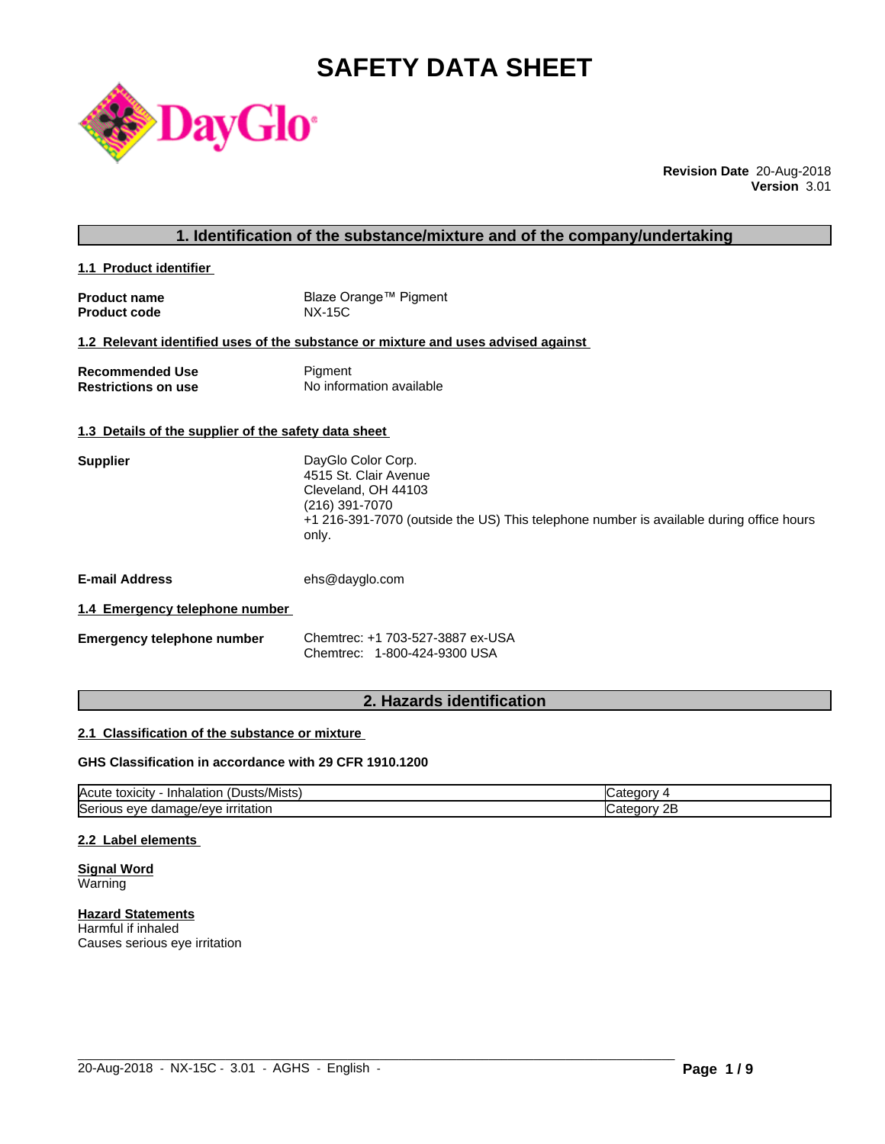# **SAFETY DATA SHEET**



**Revision Date** 20-Aug-2018 **Version** 3.01

# **1. Identification of the substance/mixture and of the company/undertaking**

**1.1 Product identifier** 

| <b>Product name</b> | Blaze Orange™ Pigment |
|---------------------|-----------------------|
| <b>Product code</b> | NX-15C                |

# **1.2 Relevant identified uses of the substance or mixture and uses advised against**

| <b>Recommended Use</b>     | Pigment                  |
|----------------------------|--------------------------|
| <b>Restrictions on use</b> | No information available |

#### **1.3 Details of the supplier of the safety data sheet**

| <b>Supplier</b> | DayGlo Color Corp.                                                                      |
|-----------------|-----------------------------------------------------------------------------------------|
|                 | 4515 St. Clair Avenue                                                                   |
|                 | Cleveland, OH 44103                                                                     |
|                 | (216) 391-7070                                                                          |
|                 | +1 216-391-7070 (outside the US) This telephone number is available during office hours |
|                 | only.                                                                                   |

**E-mail Address** ehs@dayglo.com

#### **1.4 Emergency telephone number**

| Emergency telephone number | Chemtrec: +1 703-527-3887 ex-USA |
|----------------------------|----------------------------------|
|                            | Chemtrec: 1-800-424-9300 USA     |

# **2. Hazards identification**

#### **2.1 Classification of the substance or mixture**

#### **GHS Classification in accordance with 29 CFR 1910.1200**

| $\sim$<br><b>IAcute</b><br>ا استدار ال<br>Inhalation<br>toxicity | זר זר                         |
|------------------------------------------------------------------|-------------------------------|
| Seri<br>irritation<br>nage/eve<br>s eve<br>aar<br>ுபட<br>.       | חר<br>ுட<br>עזנזו<br>ᅩ<br>. . |

 $\_$  ,  $\_$  ,  $\_$  ,  $\_$  ,  $\_$  ,  $\_$  ,  $\_$  ,  $\_$  ,  $\_$  ,  $\_$  ,  $\_$  ,  $\_$  ,  $\_$  ,  $\_$  ,  $\_$  ,  $\_$  ,  $\_$  ,  $\_$  ,  $\_$  ,  $\_$  ,  $\_$  ,  $\_$  ,  $\_$  ,  $\_$  ,  $\_$  ,  $\_$  ,  $\_$  ,  $\_$  ,  $\_$  ,  $\_$  ,  $\_$  ,  $\_$  ,  $\_$  ,  $\_$  ,  $\_$  ,  $\_$  ,  $\_$  ,

#### **2.2 Label elements**

**Signal Word** Warning

**Hazard Statements** Harmful if inhaled Causes serious eye irritation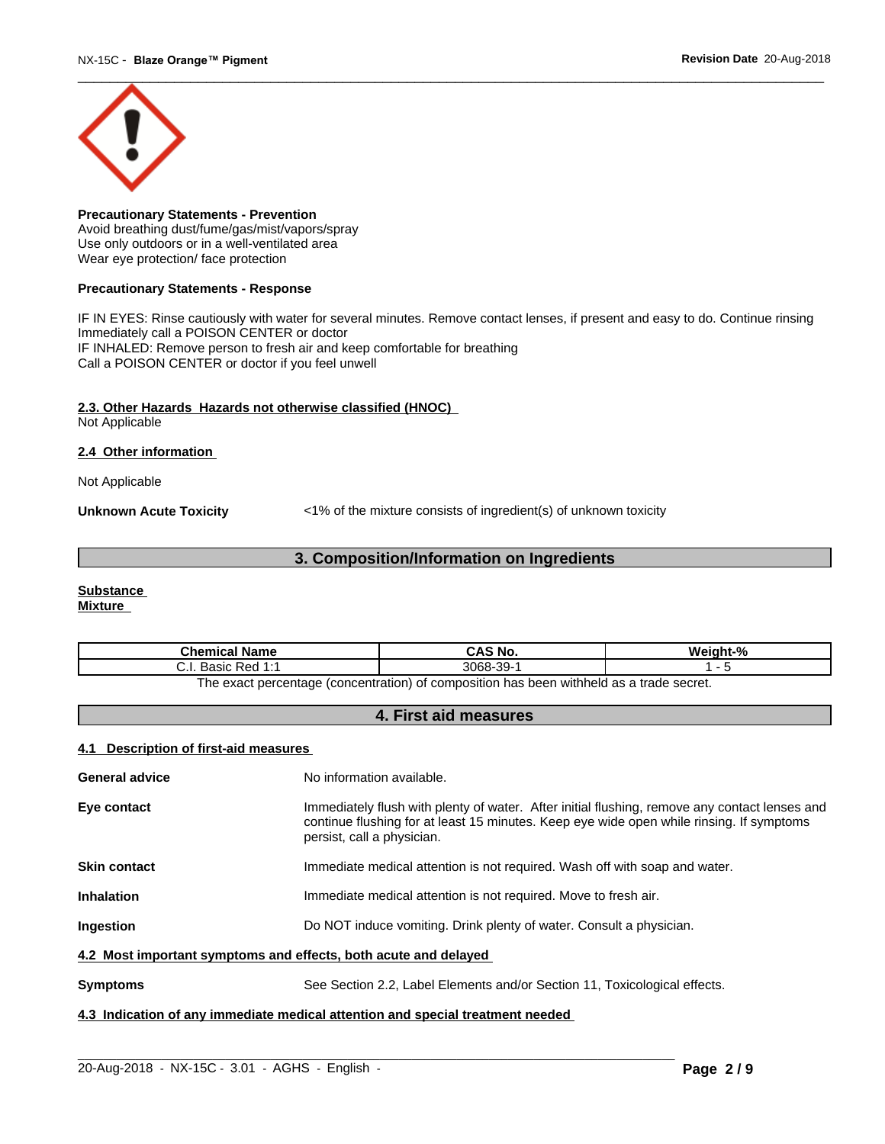

**Precautionary Statements - Prevention** Avoid breathing dust/fume/gas/mist/vapors/spray Use only outdoors or in a well-ventilated area Wear eye protection/ face protection

#### **Precautionary Statements - Response**

IF IN EYES: Rinse cautiously with water for several minutes. Remove contact lenses, if present and easy to do. Continue rinsing Immediately call a POISON CENTER or doctor IF INHALED: Remove person to fresh air and keep comfortable for breathing Call a POISON CENTER or doctor if you feel unwell

#### **2.3. Other Hazards Hazards not otherwise classified (HNOC)**

Not Applicable

#### **2.4 Other information**

Not Applicable

**Unknown Acute Toxicity**  $\langle 1\%$  of the mixture consists of ingredient(s) of unknown toxicity

# **3. Composition/Information on Ingredients**

# **Substance**

**Mixture**

| <b>Chemical Name</b>                                                                   | CAS No.                     | $\mathbf{a}$ |  |  |
|----------------------------------------------------------------------------------------|-----------------------------|--------------|--|--|
| $D \cap A \neq A$<br>20010<br>17 CU<br>. ۱. ب<br>uasiu 1<br>.                          | 3068-<br>$\sim$<br>99-<br>ີ |              |  |  |
| The exact perceptage (concentration) of compection has been withhold as a trade coeret |                             |              |  |  |

The exact percentage (concentration) of composition has been withheld as a trade secret.

# **4. First aid measures**

# **4.1 Description of first-aid measures**

| General advice                                                                 | No information available.                                                                                                                                                                                               |  |  |
|--------------------------------------------------------------------------------|-------------------------------------------------------------------------------------------------------------------------------------------------------------------------------------------------------------------------|--|--|
| Eye contact                                                                    | Immediately flush with plenty of water. After initial flushing, remove any contact lenses and<br>continue flushing for at least 15 minutes. Keep eye wide open while rinsing. If symptoms<br>persist, call a physician. |  |  |
| <b>Skin contact</b>                                                            | Immediate medical attention is not required. Wash off with soap and water.                                                                                                                                              |  |  |
| <b>Inhalation</b>                                                              | Immediate medical attention is not required. Move to fresh air.                                                                                                                                                         |  |  |
| <b>Ingestion</b>                                                               | Do NOT induce vomiting. Drink plenty of water. Consult a physician.                                                                                                                                                     |  |  |
| 4.2 Most important symptoms and effects, both acute and delayed                |                                                                                                                                                                                                                         |  |  |
| <b>Symptoms</b>                                                                | See Section 2.2, Label Elements and/or Section 11, Toxicological effects.                                                                                                                                               |  |  |
| 4.3 Indication of any immediate medical attention and special treatment needed |                                                                                                                                                                                                                         |  |  |

 $\_$  ,  $\_$  ,  $\_$  ,  $\_$  ,  $\_$  ,  $\_$  ,  $\_$  ,  $\_$  ,  $\_$  ,  $\_$  ,  $\_$  ,  $\_$  ,  $\_$  ,  $\_$  ,  $\_$  ,  $\_$  ,  $\_$  ,  $\_$  ,  $\_$  ,  $\_$  ,  $\_$  ,  $\_$  ,  $\_$  ,  $\_$  ,  $\_$  ,  $\_$  ,  $\_$  ,  $\_$  ,  $\_$  ,  $\_$  ,  $\_$  ,  $\_$  ,  $\_$  ,  $\_$  ,  $\_$  ,  $\_$  ,  $\_$  ,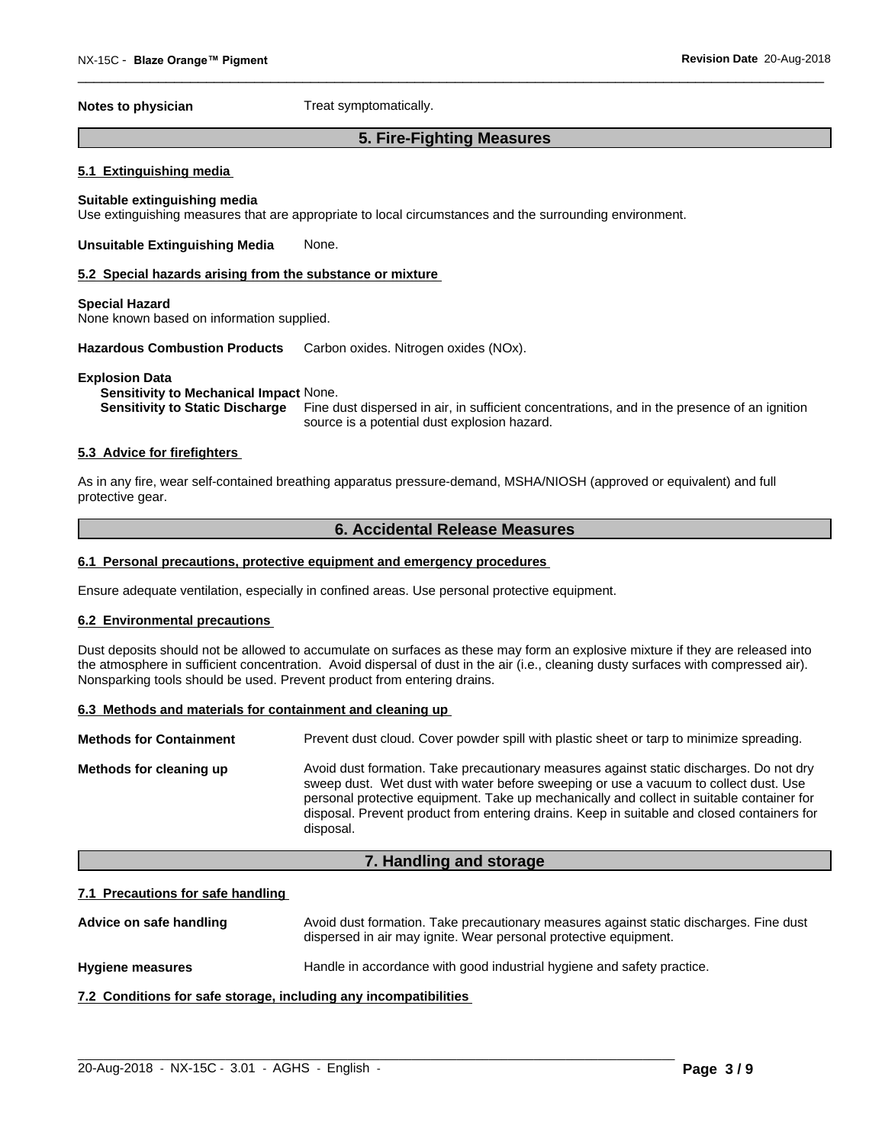**Notes to physician** Treat symptomatically.

# **5. Fire-Fighting Measures**

#### **5.1 Extinguishing media**

#### **Suitable extinguishing media**

Use extinguishing measures that are appropriate to local circumstances and the surrounding environment.

#### **Unsuitable Extinguishing Media** None.

#### **5.2 Special hazards arising from the substance or mixture**

#### **Special Hazard**

None known based on information supplied.

**Hazardous Combustion Products** Carbon oxides. Nitrogen oxides (NOx).

#### **Explosion Data**

**Sensitivity to Mechanical Impact** None.

**Sensitivity to Static Discharge** Fine dust dispersed in air, in sufficient concentrations, and in the presence of an ignition source is a potential dust explosion hazard.

#### **5.3 Advice for firefighters**

As in any fire, wear self-contained breathing apparatus pressure-demand, MSHA/NIOSH (approved or equivalent) and full protective gear.

# **6. Accidental Release Measures**

#### **6.1 Personal precautions, protective equipment and emergency procedures**

Ensure adequate ventilation, especially in confined areas. Use personal protective equipment.

#### **6.2 Environmental precautions**

Dust deposits should not be allowed to accumulate on surfaces as these may form an explosive mixture if they are released into the atmosphere in sufficient concentration. Avoid dispersal of dust in the air (i.e., cleaning dusty surfaces with compressed air). Nonsparking tools should be used. Prevent product from entering drains.

#### **6.3 Methods and materials for containment and cleaning up**

| <b>Methods for Containment</b><br>Prevent dust cloud. Cover powder spill with plastic sheet or tarp to minimize spreading.                                                                                                                                                                                                                                                                                         |
|--------------------------------------------------------------------------------------------------------------------------------------------------------------------------------------------------------------------------------------------------------------------------------------------------------------------------------------------------------------------------------------------------------------------|
|                                                                                                                                                                                                                                                                                                                                                                                                                    |
| Avoid dust formation. Take precautionary measures against static discharges. Do not dry<br>Methods for cleaning up<br>sweep dust. Wet dust with water before sweeping or use a vacuum to collect dust. Use<br>personal protective equipment. Take up mechanically and collect in suitable container for<br>disposal. Prevent product from entering drains. Keep in suitable and closed containers for<br>disposal. |

#### **7. Handling and storage**

#### **7.1 Precautions for safe handling**

| Advice on safe handling | Avoid dust formation. Take precautionary measures against static discharges. Fine dust<br>dispersed in air may ignite. Wear personal protective equipment. |
|-------------------------|------------------------------------------------------------------------------------------------------------------------------------------------------------|
| <b>Hygiene measures</b> | Handle in accordance with good industrial hygiene and safety practice.                                                                                     |

 $\_$  ,  $\_$  ,  $\_$  ,  $\_$  ,  $\_$  ,  $\_$  ,  $\_$  ,  $\_$  ,  $\_$  ,  $\_$  ,  $\_$  ,  $\_$  ,  $\_$  ,  $\_$  ,  $\_$  ,  $\_$  ,  $\_$  ,  $\_$  ,  $\_$  ,  $\_$  ,  $\_$  ,  $\_$  ,  $\_$  ,  $\_$  ,  $\_$  ,  $\_$  ,  $\_$  ,  $\_$  ,  $\_$  ,  $\_$  ,  $\_$  ,  $\_$  ,  $\_$  ,  $\_$  ,  $\_$  ,  $\_$  ,  $\_$  ,

#### **7.2 Conditions for safe storage, including any incompatibilities**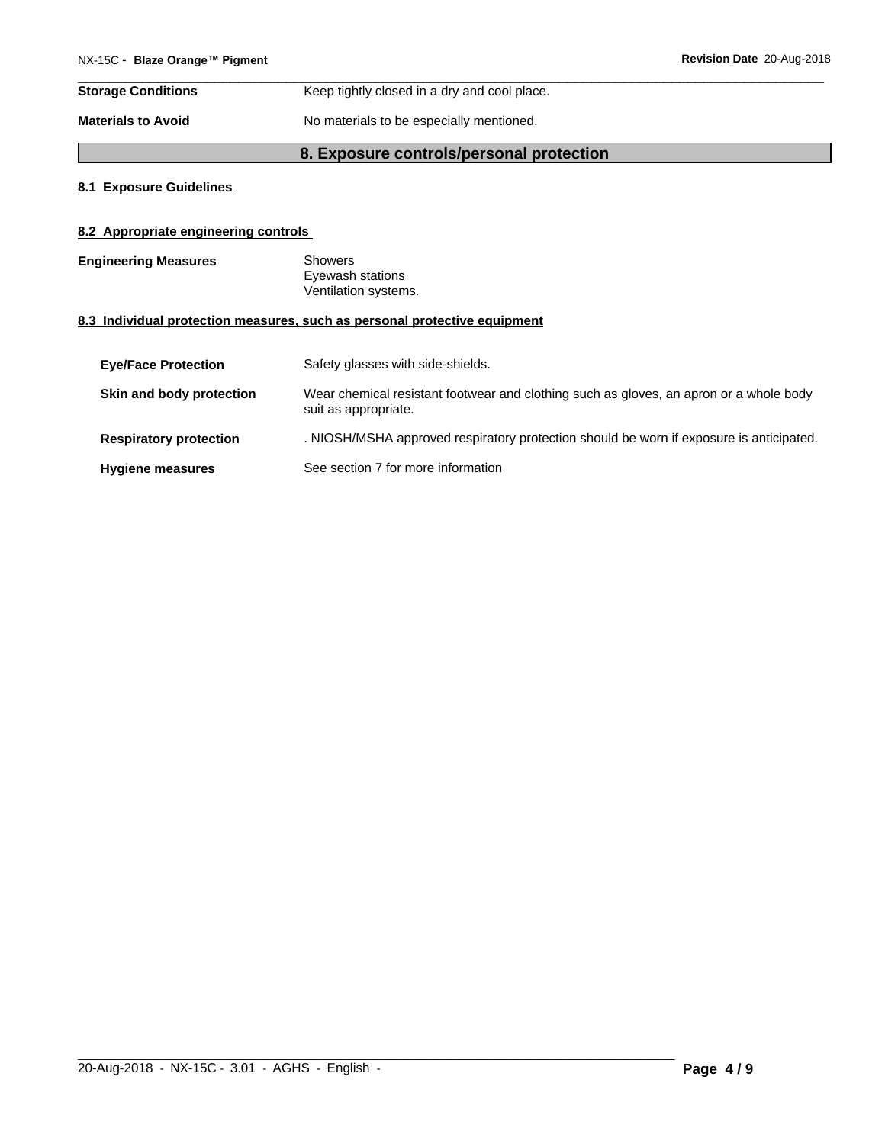| <b>Storage Conditions</b> | Keep tightly closed in a dry and cool place. |
|---------------------------|----------------------------------------------|
| <b>Materials to Avoid</b> | No materials to be especially mentioned.     |

# **8. Exposure controls/personal protection**

## **8.1 Exposure Guidelines**

# **8.2 Appropriate engineering controls**

| <b>Engineering Measures</b>   | <b>Showers</b><br>Eyewash stations<br>Ventilation systems.                                                     |
|-------------------------------|----------------------------------------------------------------------------------------------------------------|
|                               | 8.3 Individual protection measures, such as personal protective equipment                                      |
| <b>Eye/Face Protection</b>    | Safety glasses with side-shields.                                                                              |
| Skin and body protection      | Wear chemical resistant footwear and clothing such as gloves, an apron or a whole body<br>suit as appropriate. |
| <b>Respiratory protection</b> | . NIOSH/MSHA approved respiratory protection should be worn if exposure is anticipated.                        |
| <b>Hygiene measures</b>       | See section 7 for more information                                                                             |

 $\_$  ,  $\_$  ,  $\_$  ,  $\_$  ,  $\_$  ,  $\_$  ,  $\_$  ,  $\_$  ,  $\_$  ,  $\_$  ,  $\_$  ,  $\_$  ,  $\_$  ,  $\_$  ,  $\_$  ,  $\_$  ,  $\_$  ,  $\_$  ,  $\_$  ,  $\_$  ,  $\_$  ,  $\_$  ,  $\_$  ,  $\_$  ,  $\_$  ,  $\_$  ,  $\_$  ,  $\_$  ,  $\_$  ,  $\_$  ,  $\_$  ,  $\_$  ,  $\_$  ,  $\_$  ,  $\_$  ,  $\_$  ,  $\_$  ,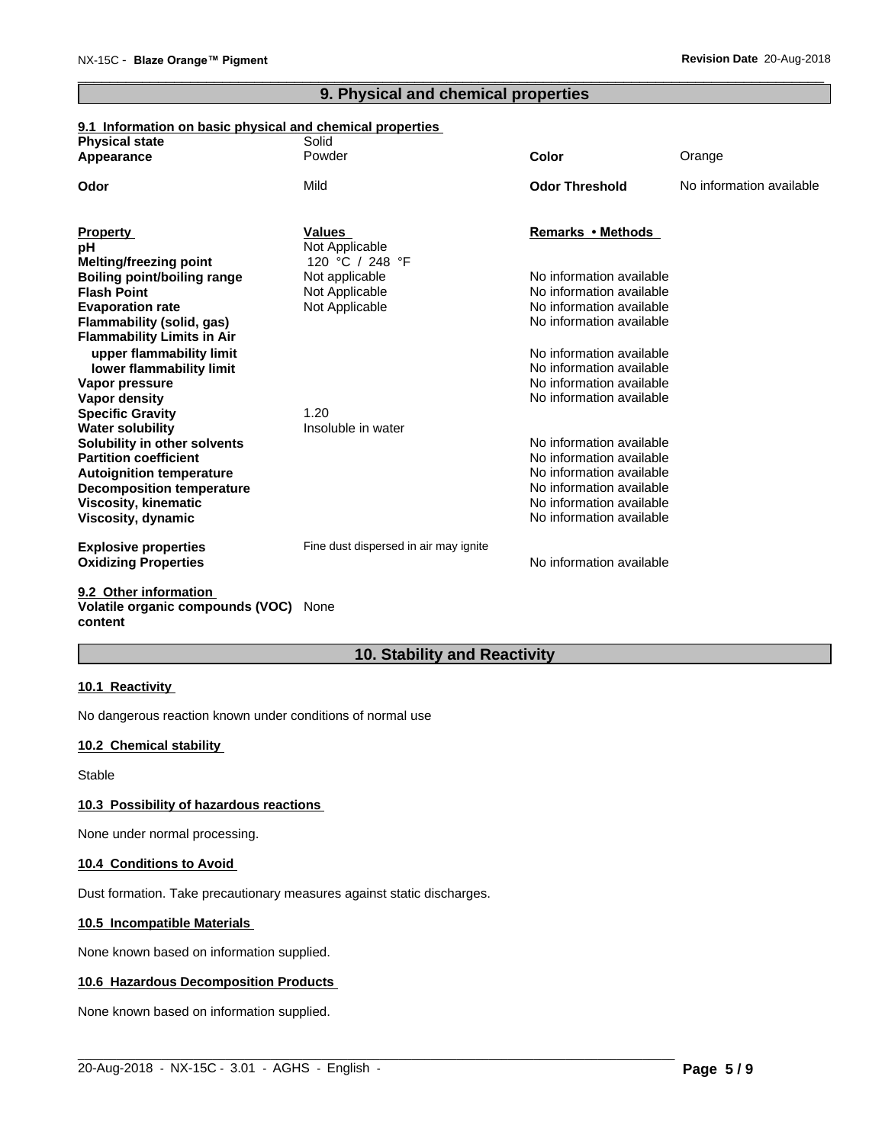# **9. Physical and chemical properties**

# **9.1 Information on basic physical and chemical properties**

| <b>Physical state</b><br>Appearance                             | Solid<br>Powder                       | <b>Color</b>                                         | Orange                   |
|-----------------------------------------------------------------|---------------------------------------|------------------------------------------------------|--------------------------|
|                                                                 |                                       |                                                      |                          |
| Odor                                                            | Mild                                  | <b>Odor Threshold</b>                                | No information available |
| <b>Property</b>                                                 | <b>Values</b>                         | Remarks • Methods                                    |                          |
| рH                                                              | Not Applicable                        |                                                      |                          |
| <b>Melting/freezing point</b>                                   | 120 °C / 248 °F                       |                                                      |                          |
| <b>Boiling point/boiling range</b>                              | Not applicable                        | No information available                             |                          |
| <b>Flash Point</b>                                              | Not Applicable                        | No information available                             |                          |
| <b>Evaporation rate</b>                                         | Not Applicable                        | No information available                             |                          |
| Flammability (solid, gas)                                       |                                       | No information available                             |                          |
| <b>Flammability Limits in Air</b>                               |                                       |                                                      |                          |
| upper flammability limit                                        |                                       | No information available                             |                          |
| lower flammability limit                                        |                                       | No information available                             |                          |
| Vapor pressure                                                  |                                       | No information available                             |                          |
| Vapor density                                                   |                                       | No information available                             |                          |
| <b>Specific Gravity</b>                                         | 1.20                                  |                                                      |                          |
| <b>Water solubility</b>                                         | Insoluble in water                    |                                                      |                          |
| Solubility in other solvents                                    |                                       | No information available                             |                          |
| <b>Partition coefficient</b>                                    |                                       | No information available                             |                          |
| <b>Autoignition temperature</b>                                 |                                       | No information available<br>No information available |                          |
| <b>Decomposition temperature</b><br><b>Viscosity, kinematic</b> |                                       | No information available                             |                          |
| Viscosity, dynamic                                              |                                       | No information available                             |                          |
|                                                                 |                                       |                                                      |                          |
| <b>Explosive properties</b>                                     | Fine dust dispersed in air may ignite |                                                      |                          |
| <b>Oxidizing Properties</b>                                     |                                       | No information available                             |                          |
| 0.0. Other information                                          |                                       |                                                      |                          |

#### **9.2 Other information Volatile organic compounds (VOC)** None **content**

# **10. Stability and Reactivity**

#### **10.1 Reactivity**

No dangerous reaction known under conditions of normal use

# **10.2 Chemical stability**

Stable

#### **10.3 Possibility of hazardous reactions**

None under normal processing.

#### **10.4 Conditions to Avoid**

Dust formation. Take precautionary measures against static discharges.

#### **10.5 Incompatible Materials**

None known based on information supplied.

#### **10.6 Hazardous Decomposition Products**

None known based on information supplied.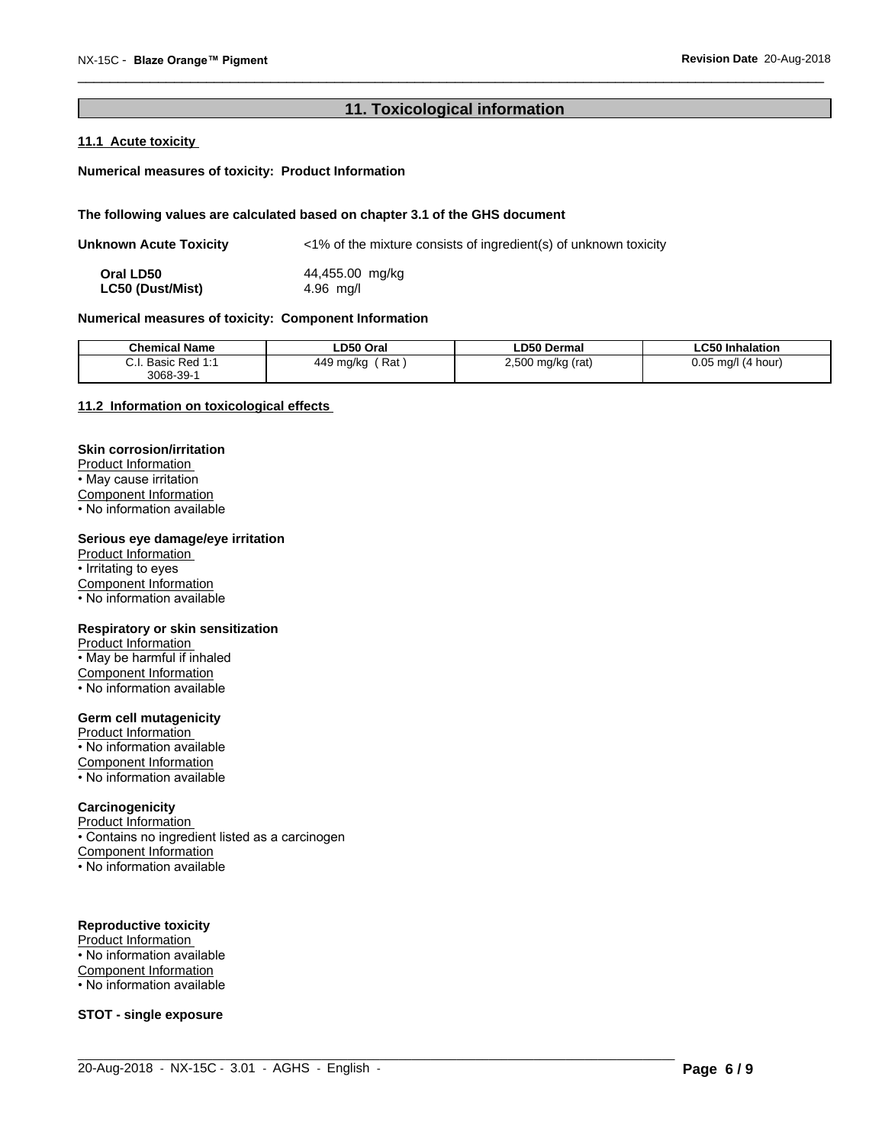# **11. Toxicological information**

# **11.1 Acute toxicity**

#### **Numerical measures of toxicity: Product Information**

#### **The following values are calculated based on chapter 3.1 of the GHS document**

| Unknown Acute Toxicity  | $\langle$ -1% of the mixture consists of ingredient(s) of unknown toxicity |
|-------------------------|----------------------------------------------------------------------------|
| Oral LD50               | 44,455.00 mg/kg                                                            |
| <b>LC50 (Dust/Mist)</b> | $4.96$ mg/l                                                                |

#### **Numerical measures of toxicity: Component Information**

| <b>Chemical Name</b> | LD50 Oral        | <b>LD50 Dermal</b>                          | ∟C50 Inhalation            |
|----------------------|------------------|---------------------------------------------|----------------------------|
| Basic Red 1:1        | Rat<br>449 mg/kg | 2,500 mg/kg (rat)<br>$\cdot$ $\cdot$<br>. . | 0.05<br>l (4 hour)<br>ma/l |
| 3068-39-1            |                  |                                             |                            |

 $\_$  ,  $\_$  ,  $\_$  ,  $\_$  ,  $\_$  ,  $\_$  ,  $\_$  ,  $\_$  ,  $\_$  ,  $\_$  ,  $\_$  ,  $\_$  ,  $\_$  ,  $\_$  ,  $\_$  ,  $\_$  ,  $\_$  ,  $\_$  ,  $\_$  ,  $\_$  ,  $\_$  ,  $\_$  ,  $\_$  ,  $\_$  ,  $\_$  ,  $\_$  ,  $\_$  ,  $\_$  ,  $\_$  ,  $\_$  ,  $\_$  ,  $\_$  ,  $\_$  ,  $\_$  ,  $\_$  ,  $\_$  ,  $\_$  ,

#### **11.2 Information on toxicologicaleffects**

#### **Skin corrosion/irritation**

Product Information • May cause irritation Component Information

• No information available

#### **Serious eye damage/eye irritation**

Product Information • Irritating to eyes Component Information • No information available

#### **Respiratory or skin sensitization**

Product Information • May be harmful if inhaled Component Information • No information available

# **Germ cell mutagenicity**

Product Information • No information available Component Information • No information available

#### **Carcinogenicity**

**Product Information** • Contains no ingredient listed as a carcinogen Component Information • No information available

#### **Reproductive toxicity**

Product Information • No information available

- Component Information
- No information available

**STOT - single exposure**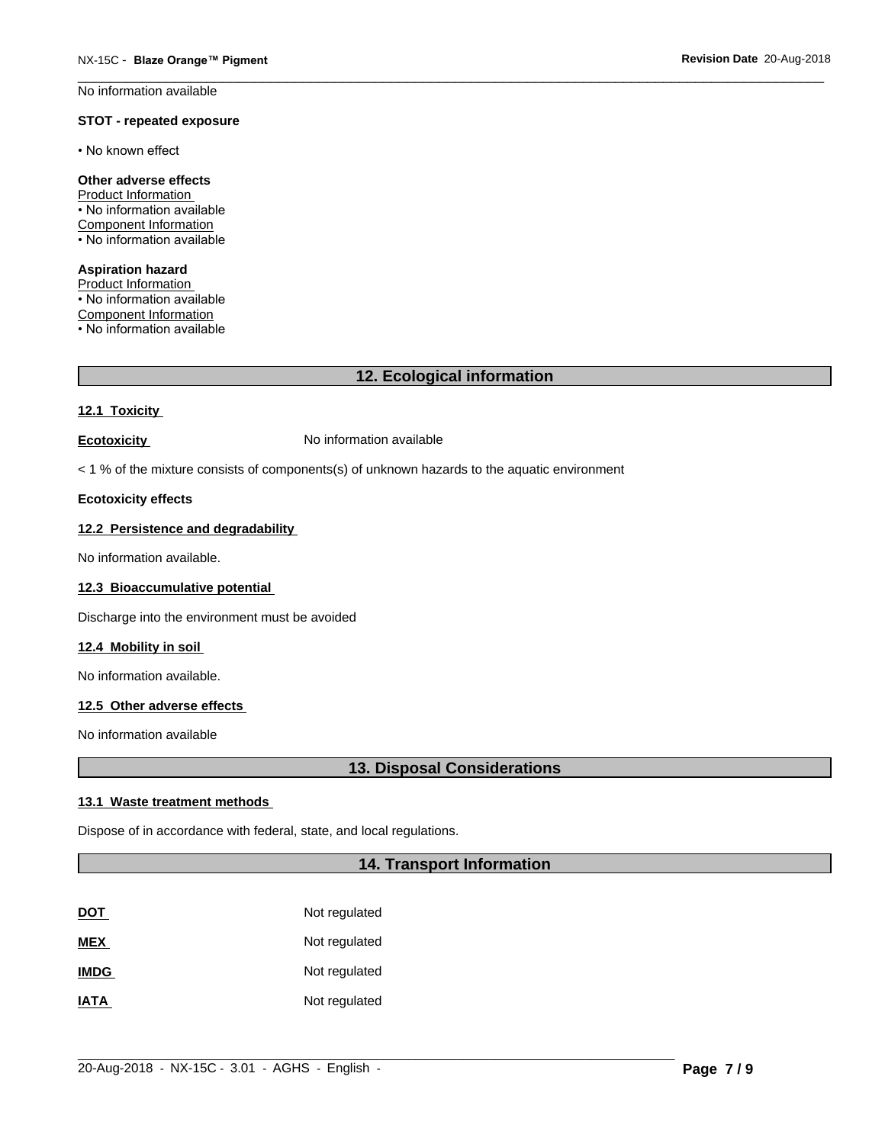No information available

#### **STOT - repeated exposure**

• No known effect

# **Other adverse effects**

Product Information • No information available Component Information • No information available

#### **Aspiration hazard**

Product Information • No information available Component Information • No information available

# **12. Ecological information**

#### **12.1 Toxicity**

**Ecotoxicity No information available** 

 $<$  1 % of the mixture consists of components(s) of unknown hazards to the aquatic environment

#### **Ecotoxicity effects**

#### **12.2 Persistence and degradability**

No information available.

# **12.3 Bioaccumulative potential**

Discharge into the environment must be avoided

#### **12.4 Mobility in soil**

No information available.

#### **12.5 Other adverse effects**

No information available

# **13. Disposal Considerations**

#### **13.1 Waste treatment methods**

Dispose of in accordance with federal, state, and local regulations.

# **14. Transport Information**

| <b>DOT</b>  | Not regulated |
|-------------|---------------|
| <b>MEX</b>  | Not regulated |
| <b>IMDG</b> | Not regulated |
| <b>IATA</b> | Not regulated |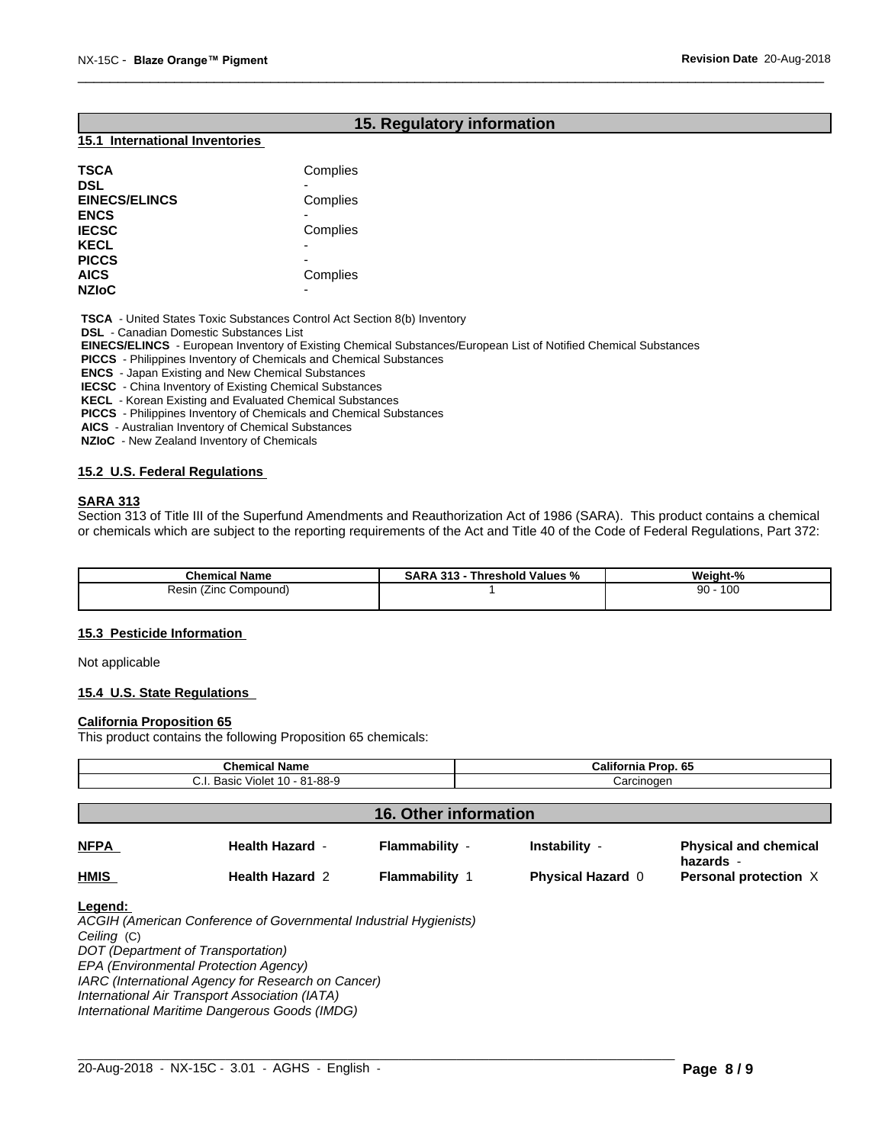# **15. Regulatory information**

#### **15.1 International Inventories**

| <b>TSCA</b>          | Complies |  |
|----------------------|----------|--|
| DSL                  |          |  |
| <b>EINECS/ELINCS</b> | Complies |  |
| <b>ENCS</b>          |          |  |
| <b>IECSC</b>         | Complies |  |
| KECL                 |          |  |
| <b>PICCS</b>         |          |  |
| AICS                 | Complies |  |
| <b>NZIoC</b>         |          |  |
|                      |          |  |

 **TSCA** - United States Toxic Substances Control Act Section 8(b) Inventory

 **DSL** - Canadian Domestic Substances List

 **EINECS/ELINCS** - European Inventory of Existing Chemical Substances/European List of Notified Chemical Substances

 **PICCS** - Philippines Inventory of Chemicals and Chemical Substances

 **ENCS** - Japan Existing and New Chemical Substances

 **IECSC** - China Inventory of Existing Chemical Substances

 **KECL** - Korean Existing and Evaluated Chemical Substances

 **PICCS** - Philippines Inventory of Chemicals and Chemical Substances

 **AICS** - Australian Inventory of Chemical Substances

 **NZIoC** - New Zealand Inventory of Chemicals

#### **15.2 U.S. Federal Regulations**

#### **SARA 313**

Section 313 of Title III of the Superfund Amendments and Reauthorization Act of 1986 (SARA). This product contains a chemical or chemicals which are subject to the reporting requirements of the Act and Title 40 of the Code of Federal Regulations, Part 372:

| <b>Chemical Name</b>       | - - -<br>242<br>∣ Values %<br>. hreshold<br>SARA<br>-70<br>$\cdot$<br>. . | Weight-<br>70   |
|----------------------------|---------------------------------------------------------------------------|-----------------|
| Resir<br>Compound)<br>∠ınc |                                                                           | 10C<br>ററ<br>ອບ |

#### **15.3 Pesticide Information**

Not applicable

#### **15.4 U.S. State Regulations**

#### **California Proposition 65**

This product contains the following Proposition 65 chemicals:

| <b>Chemical Name</b>           |                        |                              | California Prop. 65      |                                           |
|--------------------------------|------------------------|------------------------------|--------------------------|-------------------------------------------|
| C.I. Basic Violet 10 - 81-88-9 |                        |                              | Carcinogen               |                                           |
|                                |                        |                              |                          |                                           |
|                                |                        | <b>16. Other information</b> |                          |                                           |
| <b>NFPA</b>                    | <b>Health Hazard -</b> | Flammability -               | Instability -            | <b>Physical and chemical</b><br>hazards - |
| <b>HMIS</b>                    | <b>Health Hazard 2</b> | <b>Flammability 1</b>        | <b>Physical Hazard 0</b> | Personal protection X                     |

 $\_$  ,  $\_$  ,  $\_$  ,  $\_$  ,  $\_$  ,  $\_$  ,  $\_$  ,  $\_$  ,  $\_$  ,  $\_$  ,  $\_$  ,  $\_$  ,  $\_$  ,  $\_$  ,  $\_$  ,  $\_$  ,  $\_$  ,  $\_$  ,  $\_$  ,  $\_$  ,  $\_$  ,  $\_$  ,  $\_$  ,  $\_$  ,  $\_$  ,  $\_$  ,  $\_$  ,  $\_$  ,  $\_$  ,  $\_$  ,  $\_$  ,  $\_$  ,  $\_$  ,  $\_$  ,  $\_$  ,  $\_$  ,  $\_$  ,

*ACGIH (American Conference of Governmental Industrial Hygienists) Ceiling* (C) *DOT (Department of Transportation) EPA (Environmental Protection Agency) IARC (International Agency for Research on Cancer) International Air Transport Association (IATA) International Maritime Dangerous Goods (IMDG)*